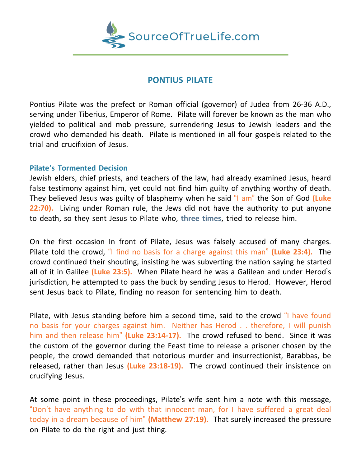

## **PONTIUS PILATE**

Pontius Pilate was the prefect or Roman official (governor) of Judea from 26-36 A.D., serving under Tiberius, Emperor of Rome. Pilate will forever be known as the man who yielded to political and mob pressure, surrendering Jesus to Jewish leaders and the crowd who demanded his death. Pilate is mentioned in all four gospels related to the trial and crucifixion of Jesus.

## **Pilate's Tormented Decision**

Jewish elders, chief priests, and teachers of the law, had already examined Jesus, heard false testimony against him, yet could not find him guilty of anything worthy of death. They believed Jesus was guilty of blasphemy when he said "I am" the Son of God **(Luke 22:70).** Living under Roman rule, the Jews did not have the authority to put anyone to death, so they sent Jesus to Pilate who, **three times**, tried to release him.

On the first occasion In front of Pilate, Jesus was falsely accused of many charges. Pilate told the crowd, "I find no basis for a charge against this man" **(Luke 23:4).** The crowd continued their shouting, insisting he was subverting the nation saying he started all of it in Galilee **(Luke 23:5).** When Pilate heard he was a Galilean and under Herod's jurisdiction, he attempted to pass the buck by sending Jesus to Herod. However, Herod sent Jesus back to Pilate, finding no reason for sentencing him to death.

Pilate, with Jesus standing before him a second time, said to the crowd "I have found no basis for your charges against him. Neither has Herod . . therefore, I will punish him and then release him" **(Luke 23:14-17).** The crowd refused to bend. Since it was the custom of the governor during the Feast time to release a prisoner chosen by the people, the crowd demanded that notorious murder and insurrectionist, Barabbas, be released, rather than Jesus **(Luke 23:18-19).** The crowd continued their insistence on crucifying Jesus.

At some point in these proceedings, Pilate's wife sent him a note with this message, "Don't have anything to do with that innocent man, for I have suffered a great deal today in a dream because of him" **(Matthew 27:19).** That surely increased the pressure on Pilate to do the right and just thing.